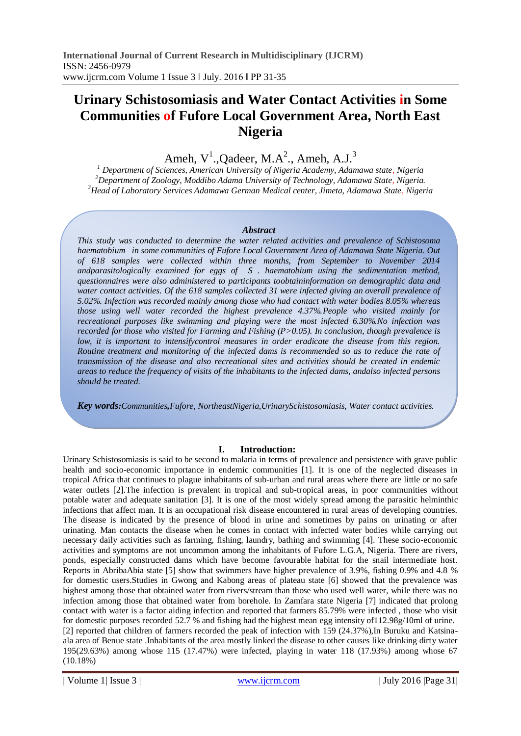# **Urinary Schistosomiasis and Water Contact Activities in Some Communities of Fufore Local Government Area, North East Nigeria**

Ameh,  $V^1$ ., Qadeer, M.A<sup>2</sup>., Ameh, A.J.<sup>3</sup>

*<sup>1</sup> Department of Sciences, American University of Nigeria Academy, Adamawa state, Nigeria <sup>2</sup>Department of Zoology, Moddibo Adama University of Technology, Adamawa State, Nigeria. <sup>3</sup>Head of Laboratory Services Adamawa German Medical center, Jimeta, Adamawa State, Nigeria*

### *Abstract*

*This study was conducted to determine the water related activities and prevalence of Schistosoma haematobium in some communities of Fufore Local Government Area of Adamawa State Nigeria. Out of 618 samples were collected within three months, from September to November 2014 andparasitologically examined for eggs of S . haematobium using the sedimentation method, questionnaires were also administered to participants toobtaininformation on demographic data and water contact activities. Of the 618 samples collected 31 were infected giving an overall prevalence of 5.02%. Infection was recorded mainly among those who had contact with water bodies 8.05% whereas those using well water recorded the highest prevalence 4.37%.People who visited mainly for recreational purposes like swimming and playing were the most infected 6.30%.No infection was recorded for those who visited for Farming and Fishing (P>0.05). In conclusion, though prevalence is low, it is important to intensifycontrol measures in order eradicate the disease from this region. Routine treatment and monitoring of the infected dams is recommended so as to reduce the rate of transmission of the disease and also recreational sites and activities should be created in endemic areas to reduce the frequency of visits of the inhabitants to the infected dams, andalso infected persons should be treated.*

*Key words:Communities,Fufore, NortheastNigeria,UrinarySchistosomiasis, Water contact activities.*

# **I. Introduction:**

Urinary Schistosomiasis is said to be second to malaria in terms of prevalence and persistence with grave public health and socio-economic importance in endemic communities [1]. It is one of the neglected diseases in tropical Africa that continues to plague inhabitants of sub-urban and rural areas where there are little or no safe water outlets [2]. The infection is prevalent in tropical and sub-tropical areas, in poor communities without potable water and adequate sanitation [3]. It is one of the most widely spread among the parasitic helminthic infections that affect man. It is an occupational risk disease encountered in rural areas of developing countries. The disease is indicated by the presence of blood in urine and sometimes by pains on urinating or after urinating. Man contacts the disease when he comes in contact with infected water bodies while carrying out necessary daily activities such as farming, fishing, laundry, bathing and swimming [4]. These socio-economic activities and symptoms are not uncommon among the inhabitants of Fufore L.G.A, Nigeria. There are rivers, ponds, especially constructed dams which have become favourable habitat for the snail intermediate host. Reports in AbribaAbia state [5] show that swimmers have higher prevalence of 3.9%, fishing 0.9% and 4.8 % for domestic users.Studies in Gwong and Kabong areas of plateau state [6] showed that the prevalence was highest among those that obtained water from rivers/stream than those who used well water, while there was no infection among those that obtained water from borehole. In Zamfara state Nigeria [7] indicated that prolong contact with water is a factor aiding infection and reported that farmers 85.79% were infected , those who visit for domestic purposes recorded 52.7 % and fishing had the highest mean egg intensity of112.98g/10ml of urine. [2] reported that children of farmers recorded the peak of infection with 159 (24.37%),In Buruku and Katsinaala area of Benue state .Inhabitants of the area mostly linked the disease to other causes like drinking dirty water 195(29.63%) among whose 115 (17.47%) were infected, playing in water 118 (17.93%) among whose 67 (10.18%)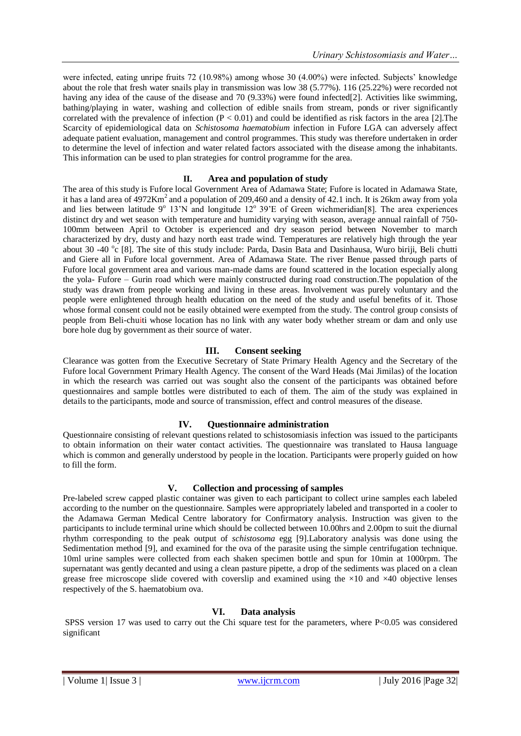were infected, eating unripe fruits 72 (10.98%) among whose 30 (4.00%) were infected. Subjects' knowledge about the role that fresh water snails play in transmission was low 38 (5.77%). 116 (25.22%) were recorded not having any idea of the cause of the disease and 70 (9.33%) were found infected[2]. Activities like swimming, bathing/playing in water, washing and collection of edible snails from stream, ponds or river significantly correlated with the prevalence of infection  $(P < 0.01)$  and could be identified as risk factors in the area [2]. The Scarcity of epidemiological data on *Schistosoma haematobium* infection in Fufore LGA can adversely affect adequate patient evaluation, management and control programmes. This study was therefore undertaken in order to determine the level of infection and water related factors associated with the disease among the inhabitants. This information can be used to plan strategies for control programme for the area.

# **II. Area and population of study**

The area of this study is Fufore local Government Area of Adamawa State; Fufore is located in Adamawa State, it has a land area of  $4972Km^2$  and a population of 209,460 and a density of 42.1 inch. It is 26km away from yola and lies between latitude 9° 13'N and longitude 12° 39'E of Green wichmeridian[8]. The area experiences distinct dry and wet season with temperature and humidity varying with season, average annual rainfall of 750- 100mm between April to October is experienced and dry season period between November to march characterized by dry, dusty and hazy north east trade wind. Temperatures are relatively high through the year about 30 -40 °c [8]. The site of this study include: Parda, Dasin Bata and Dasinhausa, Wuro biriji, Beli chutti and Giere all in Fufore local government. Area of Adamawa State. The river Benue passed through parts of Fufore local government area and various man-made dams are found scattered in the location especially along the yola- Fufore – Gurin road which were mainly constructed during road construction.The population of the study was drawn from people working and living in these areas. Involvement was purely voluntary and the people were enlightened through health education on the need of the study and useful benefits of it. Those whose formal consent could not be easily obtained were exempted from the study. The control group consists of people from Beli-chuiti whose location has no link with any water body whether stream or dam and only use bore hole dug by government as their source of water.

# **III. Consent seeking**

Clearance was gotten from the Executive Secretary of State Primary Health Agency and the Secretary of the Fufore local Government Primary Health Agency. The consent of the Ward Heads (Mai Jimilas) of the location in which the research was carried out was sought also the consent of the participants was obtained before questionnaires and sample bottles were distributed to each of them. The aim of the study was explained in details to the participants, mode and source of transmission, effect and control measures of the disease.

# **IV. Questionnaire administration**

Questionnaire consisting of relevant questions related to schistosomiasis infection was issued to the participants to obtain information on their water contact activities. The questionnaire was translated to Hausa language which is common and generally understood by people in the location. Participants were properly guided on how to fill the form.

# **V. Collection and processing of samples**

Pre-labeled screw capped plastic container was given to each participant to collect urine samples each labeled according to the number on the questionnaire. Samples were appropriately labeled and transported in a cooler to the Adamawa German Medical Centre laboratory for Confirmatory analysis. Instruction was given to the participants to include terminal urine which should be collected between 10.00hrs and 2.00pm to suit the diurnal rhythm corresponding to the peak output of *schistosoma* egg [9].Laboratory analysis was done using the Sedimentation method [9], and examined for the ova of the parasite using the simple centrifugation technique. 10ml urine samples were collected from each shaken specimen bottle and spun for 10min at 1000rpm. The supernatant was gently decanted and using a clean pasture pipette, a drop of the sediments was placed on a clean grease free microscope slide covered with coverslip and examined using the  $\times 10$  and  $\times 40$  objective lenses respectively of the S. haematobium ova.

# **VI. Data analysis**

SPSS version 17 was used to carry out the Chi square test for the parameters, where P<0.05 was considered significant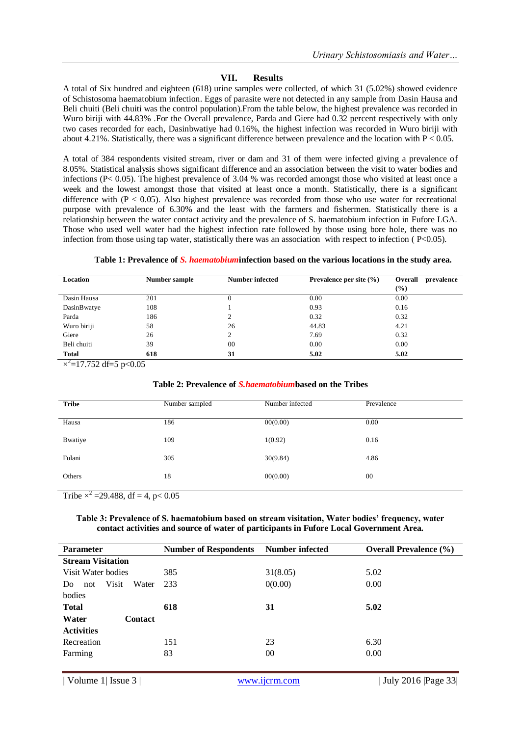# **VII. Results**

A total of Six hundred and eighteen (618) urine samples were collected, of which 31 (5.02%) showed evidence of Schistosoma haematobium infection. Eggs of parasite were not detected in any sample from Dasin Hausa and Beli chuiti (Beli chuiti was the control population).From the table below, the highest prevalence was recorded in Wuro biriji with 44.83% .For the Overall prevalence, Parda and Giere had 0.32 percent respectively with only two cases recorded for each, Dasinbwatiye had 0.16%, the highest infection was recorded in Wuro biriji with about 4.21%. Statistically, there was a significant difference between prevalence and the location with  $P < 0.05$ .

A total of 384 respondents visited stream, river or dam and 31 of them were infected giving a prevalence of 8.05%. Statistical analysis shows significant difference and an association between the visit to water bodies and infections (P< 0.05). The highest prevalence of 3.04 % was recorded amongst those who visited at least once a week and the lowest amongst those that visited at least once a month. Statistically, there is a significant difference with  $(P < 0.05)$ . Also highest prevalence was recorded from those who use water for recreational purpose with prevalence of 6.30% and the least with the farmers and fishermen. Statistically there is a relationship between the water contact activity and the prevalence of S. haematobium infection in Fufore LGA. Those who used well water had the highest infection rate followed by those using bore hole, there was no infection from those using tap water, statistically there was an association with respect to infection ( P<0.05).

#### **Table 1: Prevalence of** *S. haematobium***infection based on the various locations in the study area.**

| Location                       | Number sample | Number infected | Prevalence per site $(\% )$ | <b>Overall</b><br>prevalence |
|--------------------------------|---------------|-----------------|-----------------------------|------------------------------|
|                                |               |                 |                             | $(\%)$                       |
| Dasin Hausa                    | 201           | O               | 0.00                        | 0.00                         |
| DasinBwatye                    | 108           |                 | 0.93                        | 0.16                         |
| Parda                          | 186           | ◠               | 0.32                        | 0.32                         |
| Wuro biriji                    | 58            | 26              | 44.83                       | 4.21                         |
| Giere                          | 26            |                 | 7.69                        | 0.32                         |
| Beli chuiti                    | 39            | 00              | 0.00                        | 0.00                         |
| <b>Total</b><br>$\overline{ }$ | 618           | 31              | 5.02                        | 5.02                         |

 $\times^2$ =17.752 df=5 p<0.05

#### **Table 2: Prevalence of** *S.haematobium***based on the Tribes**

| <b>Tribe</b> | Number sampled | Number infected | Prevalence |
|--------------|----------------|-----------------|------------|
| Hausa        | 186            | 00(0.00)        | 0.00       |
| Bwatiye      | 109            | 1(0.92)         | 0.16       |
| Fulani       | 305            | 30(9.84)        | 4.86       |
| Others       | 18             | 00(0.00)        | 00         |

Tribe  $\times^2$  =29.488, df = 4, p< 0.05

### **Table 3: Prevalence of S. haematobium based on stream visitation, Water bodies' frequency, water contact activities and source of water of participants in Fufore Local Government Area.**

| <b>Parameter</b>                    | <b>Number of Respondents</b> | Number infected | <b>Overall Prevalence (%)</b> |  |
|-------------------------------------|------------------------------|-----------------|-------------------------------|--|
| <b>Stream Visitation</b>            |                              |                 |                               |  |
| Visit Water bodies                  | 385                          | 31(8.05)        | 5.02                          |  |
| <b>Visit</b><br>Water<br>Do.<br>not | 233                          | 0(0.00)         | 0.00                          |  |
| bodies                              |                              |                 |                               |  |
| <b>Total</b>                        | 618                          | 31              | 5.02                          |  |
| Water<br><b>Contact</b>             |                              |                 |                               |  |
| <b>Activities</b>                   |                              |                 |                               |  |
| Recreation                          | 151                          | 23              | 6.30                          |  |
| Farming                             | 83                           | 00              | 0.00                          |  |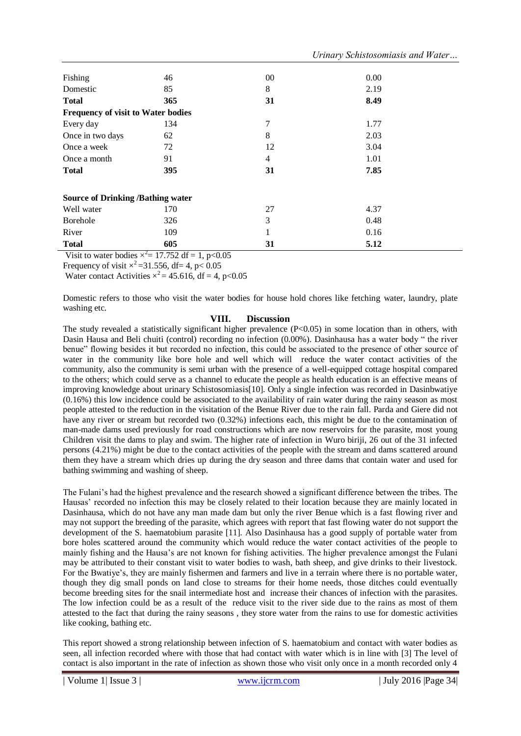| Fishing                                  | 46  | $00\,$         | 0.00 |  |  |  |
|------------------------------------------|-----|----------------|------|--|--|--|
| Domestic                                 | 85  | 8              | 2.19 |  |  |  |
| <b>Total</b>                             | 365 | 31             | 8.49 |  |  |  |
| Frequency of visit to Water bodies       |     |                |      |  |  |  |
| Every day                                | 134 | 7              | 1.77 |  |  |  |
| Once in two days                         | 62  | 8              | 2.03 |  |  |  |
| Once a week                              | 72  | 12             | 3.04 |  |  |  |
| Once a month                             | 91  | $\overline{4}$ | 1.01 |  |  |  |
| <b>Total</b>                             | 395 | 31             | 7.85 |  |  |  |
| <b>Source of Drinking /Bathing water</b> |     |                |      |  |  |  |
| Well water                               | 170 | 27             | 4.37 |  |  |  |
| Borehole                                 | 326 | 3              | 0.48 |  |  |  |
| River                                    | 109 | 1              | 0.16 |  |  |  |
| <b>Total</b>                             | 605 | 31             | 5.12 |  |  |  |

Visit to water bodies  $\times^2$  = 17.752 df = 1, p<0.05

Frequency of visit  $\times^2$  = 31.556, df = 4, p < 0.05

Water contact Activities  $x^2 = 45.616$ , df = 4, p<0.05

Domestic refers to those who visit the water bodies for house hold chores like fetching water, laundry, plate washing etc.

### **VIII. Discussion**

The study revealed a statistically significant higher prevalence  $(P<0.05)$  in some location than in others, with Dasin Hausa and Beli chuiti (control) recording no infection (0.00%). Dasinhausa has a water body " the river benue" flowing besides it but recorded no infection, this could be associated to the presence of other source of water in the community like bore hole and well which will reduce the water contact activities of the community, also the community is semi urban with the presence of a well-equipped cottage hospital compared to the others; which could serve as a channel to educate the people as health education is an effective means of improving knowledge about urinary Schistosomiasis[10]. Only a single infection was recorded in Dasinbwatiye (0.16%) this low incidence could be associated to the availability of rain water during the rainy season as most people attested to the reduction in the visitation of the Benue River due to the rain fall. Parda and Giere did not have any river or stream but recorded two  $(0.32%)$  infections each, this might be due to the contamination of man-made dams used previously for road constructions which are now reservoirs for the parasite, most young Children visit the dams to play and swim. The higher rate of infection in Wuro biriji, 26 out of the 31 infected persons (4.21%) might be due to the contact activities of the people with the stream and dams scattered around them they have a stream which dries up during the dry season and three dams that contain water and used for bathing swimming and washing of sheep.

The Fulani's had the highest prevalence and the research showed a significant difference between the tribes. The Hausas" recorded no infection this may be closely related to their location because they are mainly located in Dasinhausa, which do not have any man made dam but only the river Benue which is a fast flowing river and may not support the breeding of the parasite, which agrees with report that fast flowing water do not support the development of the S. haematobium parasite [11]. Also Dasinhausa has a good supply of portable water from bore holes scattered around the community which would reduce the water contact activities of the people to mainly fishing and the Hausa"s are not known for fishing activities. The higher prevalence amongst the Fulani may be attributed to their constant visit to water bodies to wash, bath sheep, and give drinks to their livestock. For the Bwatiye"s, they are mainly fishermen and farmers and live in a terrain where there is no portable water, though they dig small ponds on land close to streams for their home needs, those ditches could eventually become breeding sites for the snail intermediate host and increase their chances of infection with the parasites. The low infection could be as a result of the reduce visit to the river side due to the rains as most of them attested to the fact that during the rainy seasons , they store water from the rains to use for domestic activities like cooking, bathing etc.

This report showed a strong relationship between infection of S. haematobium and contact with water bodies as seen, all infection recorded where with those that had contact with water which is in line with [3] The level of contact is also important in the rate of infection as shown those who visit only once in a month recorded only 4